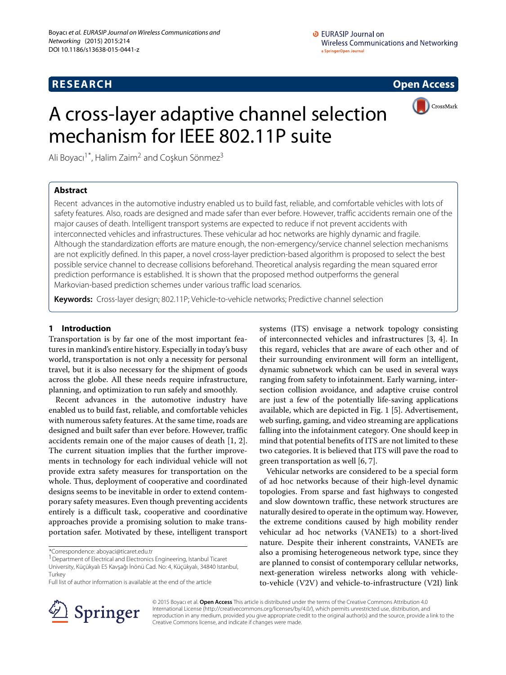# **RESEARCH Open Access**



# A cross-layer adaptive channel selection mechanism for IEEE 802.11P suite

Ali Boyacı<sup>1\*</sup>, Halim Zaim<sup>2</sup> and Coşkun Sönmez<sup>3</sup>

# **Abstract**

Recent advances in the automotive industry enabled us to build fast, reliable, and comfortable vehicles with lots of safety features. Also, roads are designed and made safer than ever before. However, traffic accidents remain one of the major causes of death. Intelligent transport systems are expected to reduce if not prevent accidents with interconnected vehicles and infrastructures. These vehicular ad hoc networks are highly dynamic and fragile. Although the standardization efforts are mature enough, the non-emergency/service channel selection mechanisms are not explicitly defined. In this paper, a novel cross-layer prediction-based algorithm is proposed to select the best possible service channel to decrease collisions beforehand. Theoretical analysis regarding the mean squared error prediction performance is established. It is shown that the proposed method outperforms the general Markovian-based prediction schemes under various traffic load scenarios.

**Keywords:** Cross-layer design; 802.11P; Vehicle-to-vehicle networks; Predictive channel selection

## **1 Introduction**

Transportation is by far one of the most important features in mankind's entire history. Especially in today's busy world, transportation is not only a necessity for personal travel, but it is also necessary for the shipment of goods across the globe. All these needs require infrastructure, planning, and optimization to run safely and smoothly.

Recent advances in the automotive industry have enabled us to build fast, reliable, and comfortable vehicles with numerous safety features. At the same time, roads are designed and built safer than ever before. However, traffic accidents remain one of the major causes of death [\[1,](#page-11-0) [2\]](#page-11-1). The current situation implies that the further improvements in technology for each individual vehicle will not provide extra safety measures for transportation on the whole. Thus, deployment of cooperative and coordinated designs seems to be inevitable in order to extend contemporary safety measures. Even though preventing accidents entirely is a difficult task, cooperative and coordinative approaches provide a promising solution to make transportation safer. Motivated by these, intelligent transport

<sup>1</sup> Department of Electrical and Electronics Engineering, Istanbul Ticaret University, Küçükyalı E5 Kavşağı İnönü Cad. No: 4, Küçükyalı, 34840 Istanbul, Turkey

Full list of author information is available at the end of the article

systems (ITS) envisage a network topology consisting of interconnected vehicles and infrastructures [\[3,](#page-11-2) [4\]](#page-11-3). In this regard, vehicles that are aware of each other and of their surrounding environment will form an intelligent, dynamic subnetwork which can be used in several ways ranging from safety to infotainment. Early warning, intersection collision avoidance, and adaptive cruise control are just a few of the potentially life-saving applications available, which are depicted in Fig. [1](#page-1-0) [\[5\]](#page-11-4). Advertisement, web surfing, gaming, and video streaming are applications falling into the infotainment category. One should keep in mind that potential benefits of ITS are not limited to these two categories. It is believed that ITS will pave the road to green transportation as well [\[6,](#page-11-5) [7\]](#page-11-6).

Vehicular networks are considered to be a special form of ad hoc networks because of their high-level dynamic topologies. From sparse and fast highways to congested and slow downtown traffic, these network structures are naturally desired to operate in the optimum way. However, the extreme conditions caused by high mobility render vehicular ad hoc networks (VANETs) to a short-lived nature. Despite their inherent constraints, VANETs are also a promising heterogeneous network type, since they are planned to consist of contemporary cellular networks, next-generation wireless networks along with vehicleto-vehicle (V2V) and vehicle-to-infrastructure (V2I) link



© 2015 Boyacı et al. **Open Access** This article is distributed under the terms of the Creative Commons Attribution 4.0 International License [\(http://creativecommons.org/licenses/by/4.0/\)](http://creativecommons.org/licenses/by/4.0/), which permits unrestricted use, distribution, and reproduction in any medium, provided you give appropriate credit to the original author(s) and the source, provide a link to the Creative Commons license, and indicate if changes were made.

<sup>\*</sup>Correspondence: [aboyaci@ticaret.edu.tr](mailto: aboyaci@ticaret.edu.tr)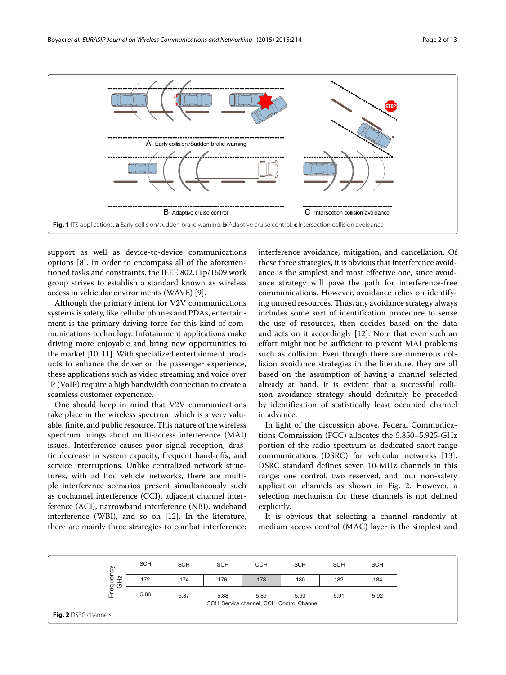

<span id="page-1-0"></span>support as well as device-to-device communications options [\[8\]](#page-11-7). In order to encompass all of the aforementioned tasks and constraints, the IEEE 802.11p/1609 work group strives to establish a standard known as wireless access in vehicular environments (WAVE) [\[9\]](#page-11-8).

Although the primary intent for V2V communications systems is safety, like cellular phones and PDAs, entertainment is the primary driving force for this kind of communications technology. Infotainment applications make driving more enjoyable and bring new opportunities to the market [\[10,](#page-11-9) [11\]](#page-11-10). With specialized entertainment products to enhance the driver or the passenger experience, these applications such as video streaming and voice over IP (VoIP) require a high bandwidth connection to create a seamless customer experience.

One should keep in mind that V2V communications take place in the wireless spectrum which is a very valuable, finite, and public resource. This nature of the wireless spectrum brings about multi-access interference (MAI) issues. Interference causes poor signal reception, drastic decrease in system capacity, frequent hand-offs, and service interruptions. Unlike centralized network structures, with ad hoc vehicle networks, there are multiple interference scenarios present simultaneously such as cochannel interference (CCI), adjacent channel interference (ACI), narrowband interference (NBI), wideband interference (WBI), and so on [\[12\]](#page-11-11). In the literature, there are mainly three strategies to combat interference: interference avoidance, mitigation, and cancellation. Of these three strategies, it is obvious that interference avoidance is the simplest and most effective one, since avoidance strategy will pave the path for interference-free communications. However, avoidance relies on identifying unused resources. Thus, any avoidance strategy always includes some sort of identification procedure to sense the use of resources, then decides based on the data and acts on it accordingly [\[12\]](#page-11-11). Note that even such an effort might not be sufficient to prevent MAI problems such as collision. Even though there are numerous collision avoidance strategies in the literature, they are all based on the assumption of having a channel selected already at hand. It is evident that a successful collision avoidance strategy should definitely be preceded by identification of statistically least occupied channel in advance.

In light of the discussion above, Federal Communications Commission (FCC) allocates the 5.850–5.925-GHz portion of the radio spectrum as dedicated short-range communications (DSRC) for vehicular networks [\[13\]](#page-11-12). DSRC standard defines seven 10-MHz channels in this range: one control, two reserved, and four non-safety application channels as shown in Fig. [2.](#page-1-1) However, a selection mechanism for these channels is not defined explicitly.

It is obvious that selecting a channel randomly at medium access control (MAC) layer is the simplest and

<span id="page-1-1"></span>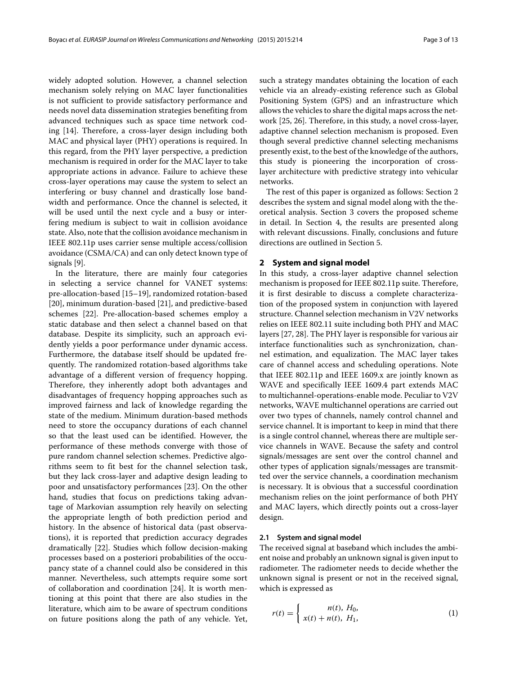widely adopted solution. However, a channel selection mechanism solely relying on MAC layer functionalities is not sufficient to provide satisfactory performance and needs novel data dissemination strategies benefiting from advanced techniques such as space time network coding [\[14\]](#page-11-13). Therefore, a cross-layer design including both MAC and physical layer (PHY) operations is required. In this regard, from the PHY layer perspective, a prediction mechanism is required in order for the MAC layer to take appropriate actions in advance. Failure to achieve these cross-layer operations may cause the system to select an interfering or busy channel and drastically lose bandwidth and performance. Once the channel is selected, it will be used until the next cycle and a busy or interfering medium is subject to wait in collision avoidance state. Also, note that the collision avoidance mechanism in IEEE 802.11p uses carrier sense multiple access/collision avoidance (CSMA/CA) and can only detect known type of signals [\[9\]](#page-11-8).

In the literature, there are mainly four categories in selecting a service channel for VANET systems: pre-allocation-based [\[15–](#page-11-14)[19\]](#page-11-15), randomized rotation-based [\[20\]](#page-11-16), minimum duration-based [\[21\]](#page-11-17), and predictive-based schemes [\[22\]](#page-11-18). Pre-allocation-based schemes employ a static database and then select a channel based on that database. Despite its simplicity, such an approach evidently yields a poor performance under dynamic access. Furthermore, the database itself should be updated frequently. The randomized rotation-based algorithms take advantage of a different version of frequency hopping. Therefore, they inherently adopt both advantages and disadvantages of frequency hopping approaches such as improved fairness and lack of knowledge regarding the state of the medium. Minimum duration-based methods need to store the occupancy durations of each channel so that the least used can be identified. However, the performance of these methods converge with those of pure random channel selection schemes. Predictive algorithms seem to fit best for the channel selection task, but they lack cross-layer and adaptive design leading to poor and unsatisfactory performances [\[23\]](#page-11-19). On the other hand, studies that focus on predictions taking advantage of Markovian assumption rely heavily on selecting the appropriate length of both prediction period and history. In the absence of historical data (past observations), it is reported that prediction accuracy degrades dramatically [\[22\]](#page-11-18). Studies which follow decision-making processes based on a posteriori probabilities of the occupancy state of a channel could also be considered in this manner. Nevertheless, such attempts require some sort of collaboration and coordination [\[24\]](#page-11-20). It is worth mentioning at this point that there are also studies in the literature, which aim to be aware of spectrum conditions on future positions along the path of any vehicle. Yet,

such a strategy mandates obtaining the location of each vehicle via an already-existing reference such as Global Positioning System (GPS) and an infrastructure which allows the vehicles to share the digital maps across the network [\[25,](#page-11-21) [26\]](#page-11-22). Therefore, in this study, a novel cross-layer, adaptive channel selection mechanism is proposed. Even though several predictive channel selecting mechanisms presently exist, to the best of the knowledge of the authors, this study is pioneering the incorporation of crosslayer architecture with predictive strategy into vehicular networks.

The rest of this paper is organized as follows: Section [2](#page-2-0) describes the system and signal model along with the theoretical analysis. Section [3](#page-4-0) covers the proposed scheme in detail. In Section [4,](#page-6-0) the results are presented along with relevant discussions. Finally, conclusions and future directions are outlined in Section [5.](#page-9-0)

#### <span id="page-2-0"></span>**2 System and signal model**

In this study, a cross-layer adaptive channel selection mechanism is proposed for IEEE 802.11p suite. Therefore, it is first desirable to discuss a complete characterization of the proposed system in conjunction with layered structure. Channel selection mechanism in V2V networks relies on IEEE 802.11 suite including both PHY and MAC layers [\[27,](#page-11-23) [28\]](#page-11-24). The PHY layer is responsible for various air interface functionalities such as synchronization, channel estimation, and equalization. The MAC layer takes care of channel access and scheduling operations. Note that IEEE 802.11p and IEEE 1609.x are jointly known as WAVE and specifically IEEE 1609.4 part extends MAC to multichannel-operations-enable mode. Peculiar to V2V networks, WAVE multichannel operations are carried out over two types of channels, namely control channel and service channel. It is important to keep in mind that there is a single control channel, whereas there are multiple service channels in WAVE. Because the safety and control signals/messages are sent over the control channel and other types of application signals/messages are transmitted over the service channels, a coordination mechanism is necessary. It is obvious that a successful coordination mechanism relies on the joint performance of both PHY and MAC layers, which directly points out a cross-layer design.

#### **2.1 System and signal model**

The received signal at baseband which includes the ambient noise and probably an unknown signal is given input to radiometer. The radiometer needs to decide whether the unknown signal is present or not in the received signal, which is expressed as

$$
r(t) = \begin{cases} n(t), H_0, \\ x(t) + n(t), H_1, \end{cases}
$$
 (1)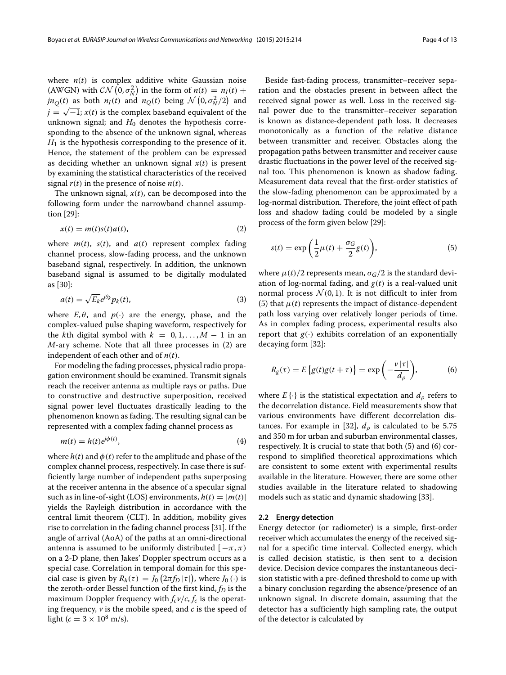where  $n(t)$  is complex additive white Gaussian noise (AWGN) with  $\mathcal{CN}\left(0, \sigma_N^2\right)$  in the form of  $n(t) = n_I(t) +$  $j n_Q(t)$  as both  $n_I(t)$  and  $n_Q(t)$  being  $\mathcal{N}(0, \sigma_N^2/2)$  and  $j = \sqrt{-1}$ ; *x*(*t*) is the complex baseband equivalent of the unknown signal; and  $H_0$  denotes the hypothesis corresponding to the absence of the unknown signal, whereas *H*<sup>1</sup> is the hypothesis corresponding to the presence of it. Hence, the statement of the problem can be expressed as deciding whether an unknown signal *x*(*t*) is present by examining the statistical characteristics of the received signal  $r(t)$  in the presence of noise  $n(t)$ .

The unknown signal,  $x(t)$ , can be decomposed into the following form under the narrowband channel assumption [\[29\]](#page-11-25):

<span id="page-3-0"></span>
$$
x(t) = m(t)s(t)a(t),
$$
\n(2)

where  $m(t)$ ,  $s(t)$ , and  $a(t)$  represent complex fading channel process, slow-fading process, and the unknown baseband signal, respectively. In addition, the unknown baseband signal is assumed to be digitally modulated as [\[30\]](#page-12-0):

$$
a(t) = \sqrt{E_k} e^{j\theta_k} p_k(t), \tag{3}
$$

where  $E, \theta$ , and  $p(\cdot)$  are the energy, phase, and the complex-valued pulse shaping waveform, respectively for the *k*th digital symbol with  $k = 0, 1, \ldots, M - 1$  in an *M*-ary scheme. Note that all three processes in [\(2\)](#page-3-0) are independent of each other and of *n*(*t*).

For modeling the fading processes, physical radio propagation environment should be examined. Transmit signals reach the receiver antenna as multiple rays or paths. Due to constructive and destructive superposition, received signal power level fluctuates drastically leading to the phenomenon known as fading. The resulting signal can be represented with a complex fading channel process as

$$
m(t) = h(t)e^{j\phi(t)},
$$
\n(4)

where  $h(t)$  and  $\phi(t)$  refer to the amplitude and phase of the complex channel process, respectively. In case there is sufficiently large number of independent paths superposing at the receiver antenna in the absence of a specular signal such as in line-of-sight (LOS) environments,  $h(t) = |m(t)|$ yields the Rayleigh distribution in accordance with the central limit theorem (CLT). In addition, mobility gives rise to correlation in the fading channel process [\[31\]](#page-12-1). If the angle of arrival (AoA) of the paths at an omni-directional antenna is assumed to be uniformly distributed  $[-\pi, \pi)$ on a 2-D plane, then Jakes' Doppler spectrum occurs as a special case. Correlation in temporal domain for this special case is given by  $R_h(\tau) = J_0\left(2\pi f_D\left|\tau\right|\right)$ , where  $J_0\left(\cdot\right)$  is the zeroth-order Bessel function of the first kind, *f*<sub>D</sub> is the maximum Doppler frequency with  $f_c v/c$ ,  $f_c$  is the operating frequency, *v* is the mobile speed, and *c* is the speed of light ( $c = 3 \times 10^8$  m/s).

Beside fast-fading process, transmitter–receiver separation and the obstacles present in between affect the received signal power as well. Loss in the received signal power due to the transmitter–receiver separation is known as distance-dependent path loss. It decreases monotonically as a function of the relative distance between transmitter and receiver. Obstacles along the propagation paths between transmitter and receiver cause drastic fluctuations in the power level of the received signal too. This phenomenon is known as shadow fading. Measurement data reveal that the first-order statistics of the slow-fading phenomenon can be approximated by a log-normal distribution. Therefore, the joint effect of path loss and shadow fading could be modeled by a single process of the form given below [\[29\]](#page-11-25):

<span id="page-3-1"></span>
$$
s(t) = \exp\left(\frac{1}{2}\mu(t) + \frac{\sigma_G}{2}g(t)\right),\tag{5}
$$

where  $\mu(t)/2$  represents mean,  $\sigma$ <sub>G</sub> $/2$  is the standard deviation of log-normal fading, and  $g(t)$  is a real-valued unit normal process  $\mathcal{N}(0, 1)$ . It is not difficult to infer from [\(5\)](#page-3-1) that  $\mu(t)$  represents the impact of distance-dependent path loss varying over relatively longer periods of time. As in complex fading process, experimental results also report that  $g(\cdot)$  exhibits correlation of an exponentially decaying form [\[32\]](#page-12-2):

<span id="page-3-2"></span>
$$
R_g(\tau) = E\left\{g(t)g(t+\tau)\right\} = \exp\left(-\frac{\nu|\tau|}{d_\rho}\right),\tag{6}
$$

where  $E\{\cdot\}$  is the statistical expectation and  $d_{\rho}$  refers to the decorrelation distance. Field measurements show that various environments have different decorrelation dis-tances. For example in [\[32\]](#page-12-2),  $d<sub>o</sub>$  is calculated to be 5.75 and 350 m for urban and suburban environmental classes, respectively. It is crucial to state that both [\(5\)](#page-3-1) and [\(6\)](#page-3-2) correspond to simplified theoretical approximations which are consistent to some extent with experimental results available in the literature. However, there are some other studies available in the literature related to shadowing models such as static and dynamic shadowing [\[33\]](#page-12-3).

#### **2.2 Energy detection**

<span id="page-3-3"></span>Energy detector (or radiometer) is a simple, first-order receiver which accumulates the energy of the received signal for a specific time interval. Collected energy, which is called decision statistic, is then sent to a decision device. Decision device compares the instantaneous decision statistic with a pre-defined threshold to come up with a binary conclusion regarding the absence/presence of an unknown signal. In discrete domain, assuming that the detector has a sufficiently high sampling rate, the output of the detector is calculated by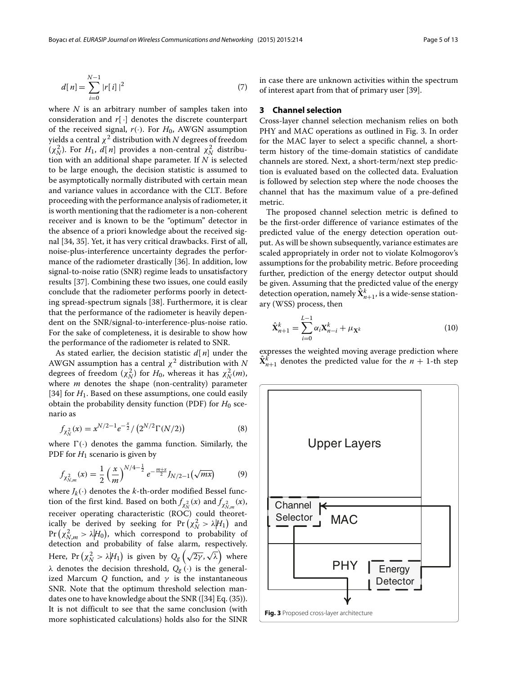$$
d[n] = \sum_{i=0}^{N-1} |r[i]|^2
$$
 (7)

where *N* is an arbitrary number of samples taken into consideration and  $r[\cdot]$  denotes the discrete counterpart of the received signal,  $r(\cdot)$ . For  $H_0$ , AWGN assumption yields a central  $\chi^2$  distribution with *N* degrees of freedom  $(\chi_N^2)$ . For *H*<sub>1</sub>, *d*[*n*] provides a non-central  $\chi_N^2$  distribution with an additional shape parameter. If *N* is selected to be large enough, the decision statistic is assumed to be asymptotically normally distributed with certain mean and variance values in accordance with the CLT. Before proceeding with the performance analysis of radiometer, it is worth mentioning that the radiometer is a non-coherent receiver and is known to be the "optimum" detector in the absence of a priori knowledge about the received signal [\[34,](#page-12-4) [35\]](#page-12-5). Yet, it has very critical drawbacks. First of all, noise-plus-interference uncertainty degrades the performance of the radiometer drastically [\[36\]](#page-12-6). In addition, low signal-to-noise ratio (SNR) regime leads to unsatisfactory results [\[37\]](#page-12-7). Combining these two issues, one could easily conclude that the radiometer performs poorly in detecting spread-spectrum signals [\[38\]](#page-12-8). Furthermore, it is clear that the performance of the radiometer is heavily dependent on the SNR/signal-to-interference-plus-noise ratio. For the sake of completeness, it is desirable to show how the performance of the radiometer is related to SNR.

As stated earlier, the decision statistic *d*[ *n*] under the AWGN assumption has a central  $\chi^2$  distribution with N degrees of freedom  $(\chi_N^2)$  for  $H_0$ , whereas it has  $\chi_N^2(m)$ , where *m* denotes the shape (non-centrality) parameter [\[34\]](#page-12-4) for  $H_1$ . Based on these assumptions, one could easily obtain the probability density function (PDF) for  $H_0$  scenario as

$$
f_{\chi^2_N}(x) = x^{N/2 - 1} e^{-\frac{x}{2}} / (2^{N/2} \Gamma(N/2))
$$
 (8)

where  $\Gamma(\cdot)$  denotes the gamma function. Similarly, the PDF for  $H_1$  scenario is given by

$$
f_{\chi^2_{N,m}}(x) = \frac{1}{2} \left(\frac{x}{m}\right)^{N/4 - \frac{1}{2}} e^{-\frac{m+x}{2}} J_{N/2 - 1}(\sqrt{mx}) \tag{9}
$$

where  $J_k(\cdot)$  denotes the *k*-th-order modified Bessel function of the first kind. Based on both  $f_{\chi^2_N}(x)$  and  $f_{\chi^2_{N,m}}(x)$ , receiver operating characteristic (ROC) could theoretically be derived by seeking for  $Pr(\chi^2_N > \lambda | H_1)$  and  $Pr(X_{N,m}^2 > \lambda | H_0)$ , which correspond to probability of detection and probability of false alarm, respectively. Here, Pr  $(\chi_N^2 > \lambda | H_1)$  is given by  $Q_g\left(\sqrt{2\gamma}, \sqrt{\lambda}\right)$  where  $\lambda$  denotes the decision threshold,  $Q_g(\cdot)$  is the generalized Marcum *Q* function, and  $\gamma$  is the instantaneous SNR. Note that the optimum threshold selection mandates one to have knowledge about the SNR ([\[34\]](#page-12-4) Eq. (35)). It is not difficult to see that the same conclusion (with more sophisticated calculations) holds also for the SINR in case there are unknown activities within the spectrum of interest apart from that of primary user [\[39\]](#page-12-9).

#### <span id="page-4-0"></span>**3 Channel selection**

Cross-layer channel selection mechanism relies on both PHY and MAC operations as outlined in Fig. [3.](#page-4-1) In order for the MAC layer to select a specific channel, a shortterm history of the time-domain statistics of candidate channels are stored. Next, a short-term/next step prediction is evaluated based on the collected data. Evaluation is followed by selection step where the node chooses the channel that has the maximum value of a pre-defined metric.

The proposed channel selection metric is defined to be the first-order difference of variance estimates of the predicted value of the energy detection operation output. As will be shown subsequently, variance estimates are scaled appropriately in order not to violate Kolmogorov's assumptions for the probability metric. Before proceeding further, prediction of the energy detector output should be given. Assuming that the predicted value of the energy detection operation, namely  $\hat{\mathbf{X}}_{n+1}^k$ , is a wide-sense stationary (WSS) process, then

<span id="page-4-2"></span>
$$
\hat{\mathbf{X}}_{n+1}^{k} = \sum_{i=0}^{L-1} \alpha_i \mathbf{X}_{n-i}^{k} + \mu_{\mathbf{X}^{k}}
$$
\n(10)

expresses the weighted moving average prediction where  $\hat{\mathbf{X}}_{n+1}^k$  denotes the predicted value for the  $n+1$ -th step

<span id="page-4-1"></span>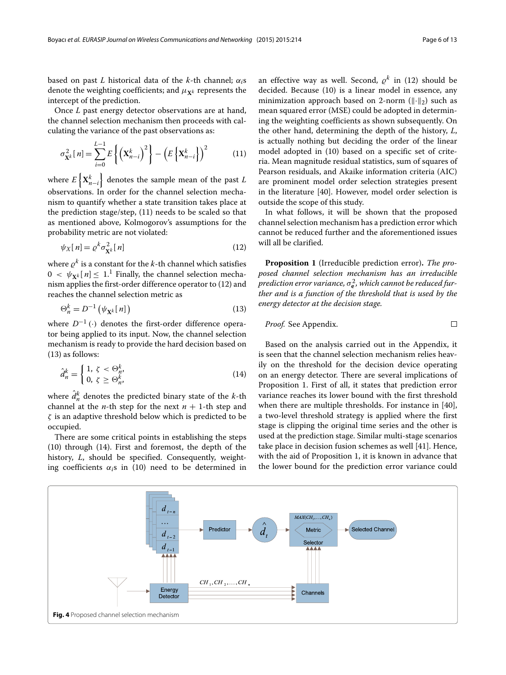based on past *L* historical data of the *k*-th channel; α*i*s denote the weighting coefficients; and  $\mu_{\mathbf{X}^k}$  represents the intercept of the prediction.

Once *L* past energy detector observations are at hand, the channel selection mechanism then proceeds with calculating the variance of the past observations as:

$$
\sigma_{\mathbf{X}^k}^2[n] = \sum_{i=0}^{L-1} E\left\{ \left( \mathbf{X}_{n-i}^k \right)^2 \right\} - \left( E\left\{ \mathbf{X}_{n-i}^k \right\} \right)^2 \tag{11}
$$

where  $E\left\{ \mathbf{X}_{n-i}^{k}\right\}$  denotes the sample mean of the past *L* observations. In order for the channel selection mechanism to quantify whether a state transition takes place at the prediction stage/step, [\(11\)](#page-5-0) needs to be scaled so that as mentioned above, Kolmogorov's assumptions for the probability metric are not violated:

$$
\psi_X[n] = \varrho^k \sigma_{X^k}^2[n] \tag{12}
$$

where  $\rho^k$  is a constant for the *k*-th channel which satisfies  $0 < \psi_{\mathbf{X}^k}[n] \leq 1$ .<sup>1</sup> Finally, the channel selection mechanism applies the first-order difference operator to [\(12\)](#page-5-1) and reaches the channel selection metric as

$$
\Theta_n^k = D^{-1} \left( \psi_{\mathbf{X}^k} [n] \right) \tag{13}
$$

where  $D^{-1}$  (·) denotes the first-order difference operator being applied to its input. Now, the channel selection mechanism is ready to provide the hard decision based on [\(13\)](#page-5-2) as follows:

<span id="page-5-3"></span>
$$
\hat{a}_n^k = \begin{cases} 1, & \zeta < \Theta_n^k, \\ 0, & \zeta \ge \Theta_n^k, \end{cases} \tag{14}
$$

where  $\hat{d}_n^k$  denotes the predicted binary state of the *k*-th channel at the *n*-th step for the next  $n + 1$ -th step and  $\zeta$  is an adaptive threshold below which is predicted to be occupied.

There are some critical points in establishing the steps [\(10\)](#page-4-2) through [\(14\)](#page-5-3). First and foremost, the depth of the history, *L*, should be specified. Consequently, weighting coefficients  $\alpha_i$ s in [\(10\)](#page-4-2) need to be determined in <span id="page-5-0"></span>an effective way as well. Second,  $\rho^k$  in [\(12\)](#page-5-1) should be decided. Because [\(10\)](#page-4-2) is a linear model in essence, any minimization approach based on 2-norm  $(\|\cdot\|_2)$  such as mean squared error (MSE) could be adopted in determining the weighting coefficients as shown subsequently. On the other hand, determining the depth of the history, *L*, is actually nothing but deciding the order of the linear model adopted in [\(10\)](#page-4-2) based on a specific set of criteria. Mean magnitude residual statistics, sum of squares of Pearson residuals, and Akaike information criteria (AIC) are prominent model order selection strategies present in the literature [\[40\]](#page-12-10). However, model order selection is outside the scope of this study.

<span id="page-5-1"></span>In what follows, it will be shown that the proposed channel selection mechanism has a prediction error which cannot be reduced further and the aforementioned issues will all be clarified.

<span id="page-5-4"></span><span id="page-5-2"></span>**Proposition 1** (Irreducible prediction error)**.** *The proposed channel selection mechanism has an irreducible* prediction error variance, σ $_{\rm e}^{2}$ , which cannot be reduced fur*ther and is a function of the threshold that is used by the energy detector at the decision stage.*

#### *Proof.* See [Appendix.](#page-10-0)  $\Box$

Based on the analysis carried out in the [Appendix,](#page-10-0) it is seen that the channel selection mechanism relies heavily on the threshold for the decision device operating on an energy detector. There are several implications of Proposition [1.](#page-5-4) First of all, it states that prediction error variance reaches its lower bound with the first threshold when there are multiple thresholds. For instance in [\[40\]](#page-12-10), a two-level threshold strategy is applied where the first stage is clipping the original time series and the other is used at the prediction stage. Similar multi-stage scenarios take place in decision fusion schemes as well [\[41\]](#page-12-11). Hence, with the aid of Proposition [1,](#page-5-4) it is known in advance that the lower bound for the prediction error variance could

<span id="page-5-5"></span>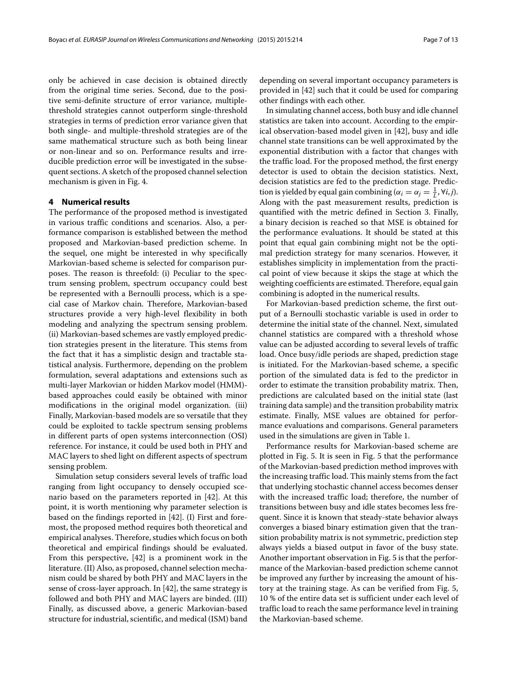only be achieved in case decision is obtained directly from the original time series. Second, due to the positive semi-definite structure of error variance, multiplethreshold strategies cannot outperform single-threshold strategies in terms of prediction error variance given that both single- and multiple-threshold strategies are of the same mathematical structure such as both being linear or non-linear and so on. Performance results and irreducible prediction error will be investigated in the subsequent sections. A sketch of the proposed channel selection mechanism is given in Fig. [4.](#page-5-5)

#### <span id="page-6-0"></span>**4 Numerical results**

The performance of the proposed method is investigated in various traffic conditions and scenarios. Also, a performance comparison is established between the method proposed and Markovian-based prediction scheme. In the sequel, one might be interested in why specifically Markovian-based scheme is selected for comparison purposes. The reason is threefold: (i) Peculiar to the spectrum sensing problem, spectrum occupancy could best be represented with a Bernoulli process, which is a special case of Markov chain. Therefore, Markovian-based structures provide a very high-level flexibility in both modeling and analyzing the spectrum sensing problem. (ii) Markovian-based schemes are vastly employed prediction strategies present in the literature. This stems from the fact that it has a simplistic design and tractable statistical analysis. Furthermore, depending on the problem formulation, several adaptations and extensions such as multi-layer Markovian or hidden Markov model (HMM) based approaches could easily be obtained with minor modifications in the original model organization. (iii) Finally, Markovian-based models are so versatile that they could be exploited to tackle spectrum sensing problems in different parts of open systems interconnection (OSI) reference. For instance, it could be used both in PHY and MAC layers to shed light on different aspects of spectrum sensing problem.

Simulation setup considers several levels of traffic load ranging from light occupancy to densely occupied scenario based on the parameters reported in [\[42\]](#page-12-12). At this point, it is worth mentioning why parameter selection is based on the findings reported in [\[42\]](#page-12-12). (I) First and foremost, the proposed method requires both theoretical and empirical analyses. Therefore, studies which focus on both theoretical and empirical findings should be evaluated. From this perspective, [\[42\]](#page-12-12) is a prominent work in the literature. (II) Also, as proposed, channel selection mechanism could be shared by both PHY and MAC layers in the sense of cross-layer approach. In [\[42\]](#page-12-12), the same strategy is followed and both PHY and MAC layers are binded. (III) Finally, as discussed above, a generic Markovian-based structure for industrial, scientific, and medical (ISM) band depending on several important occupancy parameters is provided in [\[42\]](#page-12-12) such that it could be used for comparing other findings with each other.

In simulating channel access, both busy and idle channel statistics are taken into account. According to the empirical observation-based model given in [\[42\]](#page-12-12), busy and idle channel state transitions can be well approximated by the exponential distribution with a factor that changes with the traffic load. For the proposed method, the first energy detector is used to obtain the decision statistics. Next, decision statistics are fed to the prediction stage. Prediction is yielded by equal gain combining ( $\alpha_i = \alpha_j = \frac{1}{L}$ ,  $\forall i, j$ ). Along with the past measurement results, prediction is quantified with the metric defined in Section [3.](#page-4-0) Finally, a binary decision is reached so that MSE is obtained for the performance evaluations. It should be stated at this point that equal gain combining might not be the optimal prediction strategy for many scenarios. However, it establishes simplicity in implementation from the practical point of view because it skips the stage at which the weighting coefficients are estimated. Therefore, equal gain combining is adopted in the numerical results.

For Markovian-based prediction scheme, the first output of a Bernoulli stochastic variable is used in order to determine the initial state of the channel. Next, simulated channel statistics are compared with a threshold whose value can be adjusted according to several levels of traffic load. Once busy/idle periods are shaped, prediction stage is initiated. For the Markovian-based scheme, a specific portion of the simulated data is fed to the predictor in order to estimate the transition probability matrix. Then, predictions are calculated based on the initial state (last training data sample) and the transition probability matrix estimate. Finally, MSE values are obtained for performance evaluations and comparisons. General parameters used in the simulations are given in Table [1.](#page-7-0)

Performance results for Markovian-based scheme are plotted in Fig. [5.](#page-7-1) It is seen in Fig. [5](#page-7-1) that the performance of the Markovian-based prediction method improves with the increasing traffic load. This mainly stems from the fact that underlying stochastic channel access becomes denser with the increased traffic load; therefore, the number of transitions between busy and idle states becomes less frequent. Since it is known that steady-state behavior always converges a biased binary estimation given that the transition probability matrix is not symmetric, prediction step always yields a biased output in favor of the busy state. Another important observation in Fig. [5](#page-7-1) is that the performance of the Markovian-based prediction scheme cannot be improved any further by increasing the amount of history at the training stage. As can be verified from Fig. [5,](#page-7-1) 10 % of the entire data set is sufficient under each level of traffic load to reach the same performance level in training the Markovian-based scheme.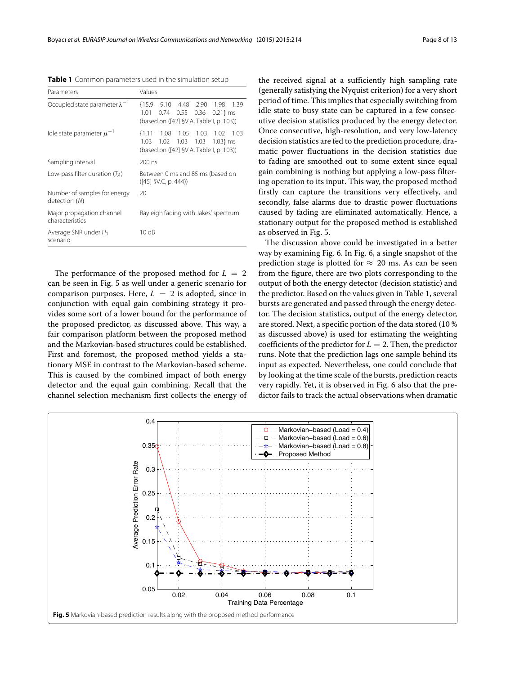The performance of the proposed method for  $L = 2$ can be seen in Fig. [5](#page-7-1) as well under a generic scenario for comparison purposes. Here,  $L = 2$  is adopted, since in the received signal at a sufficiently high sampling rate (generally satisfying the Nyquist criterion) for a very short period of time. This implies that especially switching from idle state to busy state can be captured in a few consecutive decision statistics produced by the energy detector. Once consecutive, high-resolution, and very low-latency decision statistics are fed to the prediction procedure, dramatic power fluctuations in the decision statistics due to fading are smoothed out to some extent since equal gain combining is nothing but applying a low-pass filtering operation to its input. This way, the proposed method firstly can capture the transitions very effectively, and secondly, false alarms due to drastic power fluctuations caused by fading are eliminated automatically. Hence, a stationary output for the proposed method is established as observed in Fig. [5.](#page-7-1)

The discussion above could be investigated in a better way by examining Fig. [6.](#page-8-0) In Fig. [6,](#page-8-0) a single snapshot of the prediction stage is plotted for  $\approx$  20 ms. As can be seen from the figure, there are two plots corresponding to the output of both the energy detector (decision statistic) and the predictor. Based on the values given in Table [1,](#page-7-0) several bursts are generated and passed through the energy detector. The decision statistics, output of the energy detector, are stored. Next, a specific portion of the data stored (10 % as discussed above) is used for estimating the weighting coefficients of the predictor for  $L = 2$ . Then, the predictor runs. Note that the prediction lags one sample behind its input as expected. Nevertheless, one could conclude that by looking at the time scale of the bursts, prediction reacts very rapidly. Yet, it is observed in Fig. [6](#page-8-0) also that the predictor fails to track the actual observations when dramatic



<span id="page-7-0"></span>**Table 1** Common parameters used in the simulation setup

| Parameters                                    | Values                                                                                                                         |
|-----------------------------------------------|--------------------------------------------------------------------------------------------------------------------------------|
| Occupied state parameter $\lambda^{-1}$       | 9.10 4.48 2.90<br>{15.9<br>1.98<br>1.39<br>1.01<br>0.74 0.55 0.36<br>$0.21$ ms<br>(based on ([42] §V.A, Table I, p. 103))      |
| Idle state parameter $\mu^{-1}$               | 1.08  1.05  1.03  1.02<br>${1.11}$<br>- 1.03<br>1.02 1.03 1.03<br>1.03<br>$1.03$ ms<br>(based on ([42] §V.A, Table I, p. 103)) |
| Sampling interval                             | 200 ns                                                                                                                         |
| Low-pass filter duration $(T_A)$              | Between 0 ms and 85 ms (based on<br>([45] §V.C, p. 444))                                                                       |
| Number of samples for energy<br>detection (N) | 20                                                                                                                             |
| Major propagation channel<br>characteristics  | Rayleigh fading with Jakes' spectrum                                                                                           |
| Average SNR under $H_1$<br>scenario           | 10dB                                                                                                                           |

conjunction with equal gain combining strategy it provides some sort of a lower bound for the performance of the proposed predictor, as discussed above. This way, a fair comparison platform between the proposed method and the Markovian-based structures could be established. First and foremost, the proposed method yields a stationary MSE in contrast to the Markovian-based scheme. This is caused by the combined impact of both energy detector and the equal gain combining. Recall that the channel selection mechanism first collects the energy of 0.4 Markovian−based (Load = 0.4)  $\Box$ 0.35 0.3

<span id="page-7-1"></span>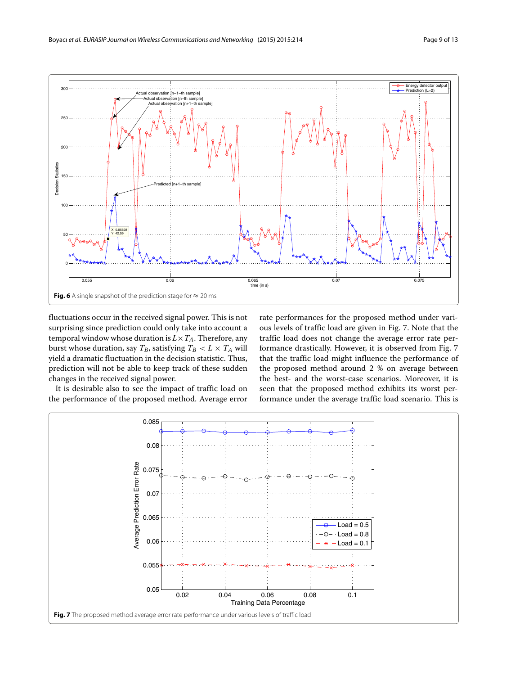

<span id="page-8-0"></span>fluctuations occur in the received signal power. This is not surprising since prediction could only take into account a temporal window whose duration is  $L \times T_A$ . Therefore, any burst whose duration, say  $T_B$ , satisfying  $T_B < L \times T_A$  will yield a dramatic fluctuation in the decision statistic. Thus, prediction will not be able to keep track of these sudden changes in the received signal power.

It is desirable also to see the impact of traffic load on the performance of the proposed method. Average error rate performances for the proposed method under various levels of traffic load are given in Fig. [7.](#page-8-1) Note that the traffic load does not change the average error rate performance drastically. However, it is observed from Fig. [7](#page-8-1) that the traffic load might influence the performance of the proposed method around 2 % on average between the best- and the worst-case scenarios. Moreover, it is seen that the proposed method exhibits its worst performance under the average traffic load scenario. This is

<span id="page-8-1"></span>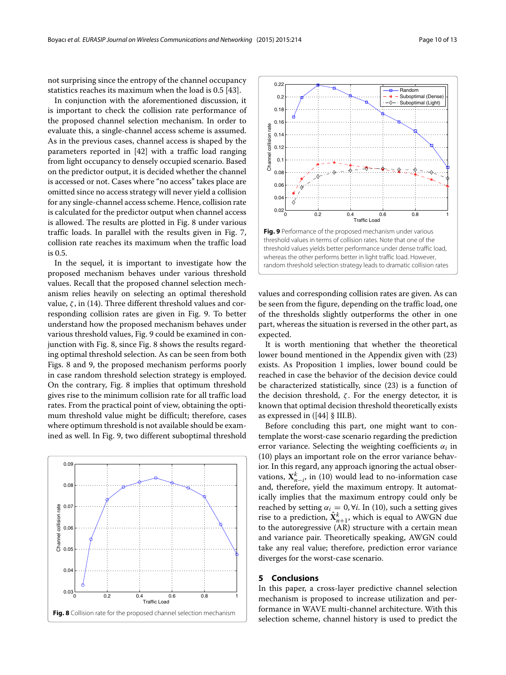In conjunction with the aforementioned discussion, it is important to check the collision rate performance of the proposed channel selection mechanism. In order to evaluate this, a single-channel access scheme is assumed. As in the previous cases, channel access is shaped by the parameters reported in [\[42\]](#page-12-12) with a traffic load ranging from light occupancy to densely occupied scenario. Based on the predictor output, it is decided whether the channel is accessed or not. Cases where "no access" takes place are omitted since no access strategy will never yield a collision for any single-channel access scheme. Hence, collision rate is calculated for the predictor output when channel access is allowed. The results are plotted in Fig. [8](#page-9-1) under various traffic loads. In parallel with the results given in Fig. [7,](#page-8-1) collision rate reaches its maximum when the traffic load is 0.5.

In the sequel, it is important to investigate how the proposed mechanism behaves under various threshold values. Recall that the proposed channel selection mechanism relies heavily on selecting an optimal thereshold value, ζ, in [\(14\)](#page-5-3). Three different threshold values and corresponding collision rates are given in Fig. [9.](#page-9-2) To better understand how the proposed mechanism behaves under various threshold values, Fig. [9](#page-9-2) could be examined in conjunction with Fig. [8,](#page-9-1) since Fig. [8](#page-9-1) shows the results regarding optimal threshold selection. As can be seen from both Figs. [8](#page-9-1) and [9,](#page-9-2) the proposed mechanism performs poorly in case random threshold selection strategy is employed. On the contrary, Fig. [8](#page-9-1) implies that optimum threshold gives rise to the minimum collision rate for all traffic load rates. From the practical point of view, obtaining the optimum threshold value might be difficult; therefore, cases where optimum threshold is not available should be examined as well. In Fig. [9,](#page-9-2) two different suboptimal threshold

<span id="page-9-1"></span>



<span id="page-9-2"></span>values and corresponding collision rates are given. As can be seen from the figure, depending on the traffic load, one of the thresholds slightly outperforms the other in one part, whereas the situation is reversed in the other part, as expected.

It is worth mentioning that whether the theoretical lower bound mentioned in the Appendix given with [\(23\)](#page-11-26) exists. As Proposition [1](#page-5-4) implies, lower bound could be reached in case the behavior of the decision device could be characterized statistically, since [\(23\)](#page-11-26) is a function of the decision threshold,  $\zeta$ . For the energy detector, it is known that optimal decision threshold theoretically exists as expressed in ([\[44\]](#page-12-15) § III.B).

Before concluding this part, one might want to contemplate the worst-case scenario regarding the prediction error variance. Selecting the weighting coefficients α*<sup>i</sup>* in [\(10\)](#page-4-2) plays an important role on the error variance behavior. In this regard, any approach ignoring the actual observations,  $X_{n-i}^k$ , in [\(10\)](#page-4-2) would lead to no-information case and, therefore, yield the maximum entropy. It automatically implies that the maximum entropy could only be reached by setting  $\alpha_i = 0$ ,  $\forall i$ . In [\(10\)](#page-4-2), such a setting gives rise to a prediction,  $\hat{\mathbf{X}}_{n+1}^k$ , which is equal to AWGN due to the autoregressive (AR) structure with a certain mean and variance pair. Theoretically speaking, AWGN could take any real value; therefore, prediction error variance diverges for the worst-case scenario.

#### <span id="page-9-0"></span>**5 Conclusions**

In this paper, a cross-layer predictive channel selection mechanism is proposed to increase utilization and performance in WAVE multi-channel architecture. With this selection scheme, channel history is used to predict the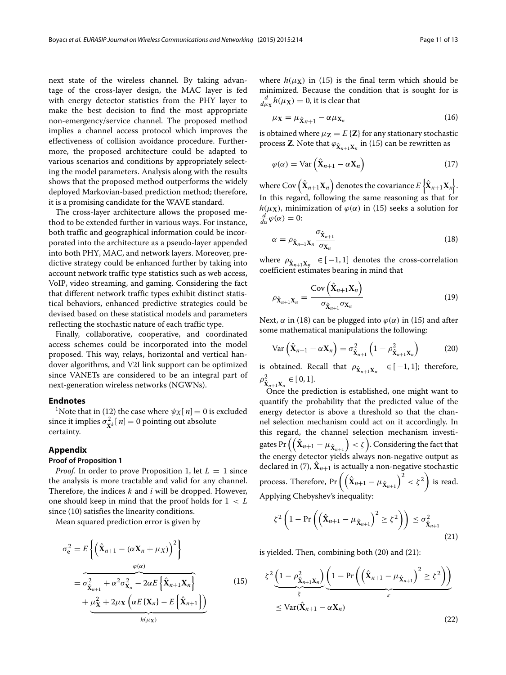next state of the wireless channel. By taking advantage of the cross-layer design, the MAC layer is fed with energy detector statistics from the PHY layer to make the best decision to find the most appropriate non-emergency/service channel. The proposed method implies a channel access protocol which improves the effectiveness of collision avoidance procedure. Furthermore, the proposed architecture could be adapted to various scenarios and conditions by appropriately selecting the model parameters. Analysis along with the results shows that the proposed method outperforms the widely deployed Markovian-based prediction method; therefore, it is a promising candidate for the WAVE standard.

The cross-layer architecture allows the proposed method to be extended further in various ways. For instance, both traffic and geographical information could be incorporated into the architecture as a pseudo-layer appended into both PHY, MAC, and network layers. Moreover, predictive strategy could be enhanced further by taking into account network traffic type statistics such as web access, VoIP, video streaming, and gaming. Considering the fact that different network traffic types exhibit distinct statistical behaviors, enhanced predictive strategies could be devised based on these statistical models and parameters reflecting the stochastic nature of each traffic type.

Finally, collaborative, cooperative, and coordinated access schemes could be incorporated into the model proposed. This way, relays, horizontal and vertical handover algorithms, and V2I link support can be optimized since VANETs are considered to be an integral part of next-generation wireless networks (NGWNs).

### **Endnotes**

<sup>1</sup>Note that in [\(12\)](#page-5-1) the case where  $\psi_X[n] = 0$  is excluded since it implies  $\sigma_{\mathbf{X}^k}^2[n] = 0$  pointing out absolute certainty.

#### <span id="page-10-0"></span>**Appendix**

#### **Proof of Proposition [1](#page-5-4)**

*Proof.* In order to prove Proposition [1,](#page-5-4) let  $L = 1$  since the analysis is more tractable and valid for any channel. Therefore, the indices *k* and *i* will be dropped. However, one should keep in mind that the proof holds for 1 < *L* since [\(10\)](#page-4-2) satisfies the linearity conditions.

Mean squared prediction error is given by

$$
\sigma_{\mathbf{e}}^{2} = E\left\{ \left( \hat{\mathbf{X}}_{n+1} - (\alpha \mathbf{X}_{n} + \mu_{X}) \right)^{2} \right\}
$$

$$
= \sigma_{\hat{\mathbf{X}}_{n+1}}^{2} + \alpha^{2} \sigma_{\mathbf{X}_{n}}^{2} - 2\alpha E\left\{ \hat{\mathbf{X}}_{n+1} \mathbf{X}_{n} \right\}
$$

$$
+ \mu_{\mathbf{X}}^{2} + 2\mu_{\mathbf{X}} \left( \alpha E\left\{ \mathbf{X}_{n} \right\} - E\left\{ \hat{\mathbf{X}}_{n+1} \right\} \right)
$$
(15)

where  $h(\mu_X)$  in [\(15\)](#page-10-1) is the final term which should be minimized. Because the condition that is sought for is  $\frac{d}{d\mu_X}h(\mu_X) = 0$ , it is clear that

$$
\mu_X = \mu_{\hat{X}_n + 1} - \alpha \mu_{X_n} \tag{16}
$$

is obtained where  $\mu$ **z** = *E* {**Z**} for any stationary stochastic process **Z**. Note that  $\varphi_{\hat{\mathbf{X}}_{n+1}\mathbf{X}_n}$  in [\(15\)](#page-10-1) can be rewritten as

$$
\varphi(\alpha) = \text{Var}\left(\hat{\mathbf{X}}_{n+1} - \alpha \mathbf{X}_n\right) \tag{17}
$$

where Cov  $(\hat{\mathbf{X}}_{n+1}\mathbf{X}_n)$  denotes the covariance  $E\left[\hat{\mathbf{X}}_{n+1}\mathbf{X}_n\right]$ . In this regard, following the same reasoning as that for  $h(\mu_X)$ , minimization of  $\varphi(\alpha)$  in [\(15\)](#page-10-1) seeks a solution for  $\frac{d}{d\alpha}\varphi(\alpha) = 0$ :

<span id="page-10-2"></span>
$$
\alpha = \rho_{\hat{\mathbf{X}}_{n+1}\mathbf{X}_n} \frac{\sigma_{\hat{\mathbf{X}}_{n+1}}}{\sigma_{\mathbf{X}_n}}
$$
(18)

where  $\rho_{\hat{\mathbf{X}}_{n+1}\mathbf{X}_n} \in [-1,1]$  denotes the cross-correlation coefficient estimates bearing in mind that

$$
\rho_{\hat{\mathbf{X}}_{n+1}\mathbf{X}_n} = \frac{\text{Cov}\left(\hat{\mathbf{X}}_{n+1}\mathbf{X}_n\right)}{\sigma_{\hat{\mathbf{X}}_{n+1}}\sigma_{\mathbf{X}_n}}
$$
(19)

Next,  $\alpha$  in [\(18\)](#page-10-2) can be plugged into  $\varphi(\alpha)$  in [\(15\)](#page-10-1) and after some mathematical manipulations the following:

<span id="page-10-3"></span>
$$
\text{Var}\left(\hat{\mathbf{X}}_{n+1} - \alpha \mathbf{X}_n\right) = \sigma_{\hat{\mathbf{X}}_{n+1}}^2 \left(1 - \rho_{\hat{\mathbf{X}}_{n+1} \mathbf{X}_n}^2\right) \tag{20}
$$

is obtained. Recall that  $\rho_{\hat{\mathbf{X}}_{n+1}\mathbf{X}_n} \in [-1,1]$ ; therefore,  $\rho_{\hat{\mathbf{X}}_{n+1}\mathbf{X}_n}^2 \in [0,1].$ 

Once the prediction is established, one might want to quantify the probability that the predicted value of the energy detector is above a threshold so that the channel selection mechanism could act on it accordingly. In this regard, the channel selection mechanism investigates Pr  $\left(\left(\hat{\mathbf{X}}_{n+1}-\mu_{\hat{\mathbf{X}}_{n+1}}\right)<\zeta\right)$ . Considering the fact that the energy detector yields always non-negative output as declared in [\(7\)](#page-3-3),  $\mathbf{X}_{n+1}$  is actually a non-negative stochastic process. Therefore,  $Pr\left( \left( \hat{\mathbf{X}}_{n+1} - \mu_{\hat{\mathbf{X}}_{n+1}} \right)^2 < \zeta^2 \right)$  is read. Applying Chebyshev's inequality:

<span id="page-10-4"></span>
$$
\zeta^2 \left( 1 - \Pr\left( \left( \hat{\mathbf{X}}_{n+1} - \mu_{\hat{\mathbf{X}}_{n+1}} \right)^2 \ge \zeta^2 \right) \right) \le \sigma_{\hat{\mathbf{X}}_{n+1}}^2
$$
\n(21)

<span id="page-10-1"></span>is yielded. Then, combining both [\(20\)](#page-10-3) and [\(21\)](#page-10-4):

$$
\zeta^2 \underbrace{\left(1 - \rho_{\hat{\mathbf{X}}_{n+1}\mathbf{X}_n}^2\right)}_{\xi} \underbrace{\left(1 - \Pr\left(\left(\hat{\mathbf{X}}_{n+1} - \mu_{\hat{\mathbf{X}}_{n+1}}\right)^2 \geq \zeta^2\right)\right)}_{\kappa}
$$
\n
$$
\leq \text{Var}(\hat{\mathbf{X}}_{n+1} - \alpha \mathbf{X}_n)
$$
\n(22)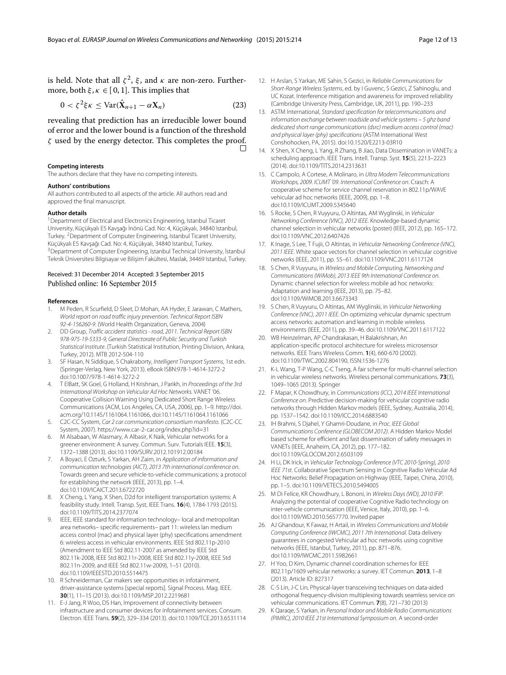is held. Note that all  $\zeta^2$ ,  $\xi$ , and  $\kappa$  are non-zero. Furthermore, both  $\xi, \kappa \in [0, 1]$ . This implies that

$$
0 < \zeta^2 \xi \kappa \le \text{Var}(\hat{\mathbf{X}}_{n+1} - \alpha \mathbf{X}_n) \tag{23}
$$

revealing that prediction has an irreducible lower bound of error and the lower bound is a function of the threshold  $\zeta$  used by the energy detector. This completes the proof.

#### **Competing interests**

The authors declare that they have no competing interests.

#### **Authors' contributions**

All authors contributed to all aspects of the article. All authors read and approved the final manuscript.

#### **Author details**

<sup>1</sup> Department of Electrical and Electronics Engineering, Istanbul Ticaret University, Küçükyalı E5 Kavşağı İnönü Cad. No: 4, Küçükyalı, 34840 Istanbul, Turkey. 2Department of Computer Engineering, Istanbul Ticaret University, Küçükyalı E5 Kavşağı Cad. No: 4, Küçükyalı, 34840 Istanbul, Turkey. <sup>3</sup> Department of Computer Engineering, Istanbul Technical University, İstanbul Teknik Üniversitesi Bilgisayar ve Bilişim Fakültesi, Maslak, 34469 Istanbul, Turkey.

#### Received: 31 December 2014 Accepted: 3 September 2015 Published online: 16 September 2015

#### **References**

- <span id="page-11-0"></span>1. M Peden, R Scurfield, D Sleet, D Mohan, AA Hyder, E Jarawan, C Mathers, World report on road traffic injury prevention. Technical Report ISBN 92-4-156260-9. (World Health Organization, Geneva, 2004)
- <span id="page-11-1"></span>2. DD Group, Traffic accident statistics - road, 2011. Technical Report ISBN 978-975-19-5333-9, General Directorate of Public Security and Turkish Statistical Institute. (Turkish Statistical Institution, Printing Division, Ankara, Turkey, 2012). MTB 2012-504-110
- <span id="page-11-2"></span>3. SF Hasan, N Siddique, S Chakraborty, Intelligent Transport Systems, 1st edn. (Springer-Verlag, New York, 2013). eBook ISBN:978-1-4614-3272-2 doi[:10.1007/978-1-4614-3272-2](http://dx.doi.org/10.1007/978-1-4614-3272-2)
- <span id="page-11-3"></span>T ElBatt, SK Goel, G Holland, H Krishnan, J Parikh, in Proceedings of the 3rd International Workshop on Vehicular Ad Hoc Networks. VANET '06. Cooperative Collision Warning Using Dedicated Short Range Wireless Communications (ACM, Los Angeles, CA, USA, 2006), pp. 1–9. [http://doi.](http://doi.acm.org/10.1145/1161064.1161066) [acm.org/10.1145/1161064.1161066,](http://doi.acm.org/10.1145/1161064.1161066) doi[:10.1145/1161064.1161066](http://dx.doi.org/10.1145/1161064.1161066)
- <span id="page-11-4"></span>5. C2C-CC System, Car 2 car communication consortium manifesto. (C2C-CC System, 2007).<https://www.car-2-car.org/index.php?id=31>
- <span id="page-11-5"></span>6. M Alsabaan, W Alasmary, A Albasir, K Naik, Vehicular networks for a greener environment: A survey. Commun. Surv. Tutorials IEEE. **15**(3), 1372–1388 (2013). doi[:10.1109/SURV.2012.101912.00184](http://dx.doi.org/10.1109/SURV.2012.101912.00184)
- <span id="page-11-6"></span>7. A Boyaci, E Ozturk, S Yarkan, AH Zaim, in Application of information and communication technologies (AICT), 2013 7th international conference on. Towards green and secure vehicle-to-vehicle communications: a protocol for establishing the network (IEEE, 2013), pp. 1–4. doi[:10.1109/ICAICT.2013.6722720](http://dx.doi.org/10.1109/ICAICT.2013.6722720)
- <span id="page-11-7"></span>8. X Cheng, L Yang, X Shen, D2d for intelligent transportation systems: A feasibility study. Intell. Transp. Syst, IEEE Trans. **16**(4), 1784-1793 (2015). doi[:10.1109/TITS.2014.2377074](http://dx.doi.org/10.1109/TITS.2014.2377074)
- <span id="page-11-8"></span>IEEE, IEEE standard for information technology– local and metropolitan area networks– specific requirements– part 11: wireless lan medium access control (mac) and physical layer (phy) specifications amendment 6: wireless access in vehicular environments. IEEE Std 802.11p-2010 (Amendment to IEEE Std 802.11-2007 as amended by IEEE Std 802.11k-2008, IEEE Std 802.11r-2008, IEEE Std 802.11y-2008, IEEE Std 802.11n-2009, and IEEE Std 802.11w-2009), 1–51 (2010). doi[:10.1109/IEEESTD.2010.5514475](http://dx.doi.org/10.1109/IEEESTD.2010.5514475)
- <span id="page-11-9"></span>10. R Schneiderman, Car makers see opportunities in infotainment, driver-assistance systems [special reports]. Signal Process. Mag. IEEE. **30**(1), 11–15 (2013). doi[:10.1109/MSP.2012.2219681](http://dx.doi.org/10.1109/MSP.2012.2219681)
- <span id="page-11-10"></span>11. E-J Jang, R Woo, DS Han, Improvement of connectivity between infrastructure and consumer devices for infotainment services. Consum. Electron. IEEE Trans. **59**(2), 329–334 (2013). do[i:10.1109/TCE.2013.6531114](http://dx.doi.org/10.1109/TCE.2013.6531114)
- <span id="page-11-26"></span><span id="page-11-11"></span>12. H Arslan, S Yarkan, ME Sahin, S Gezici, in Reliable Communications for Short-Range Wireless Systems, ed. by I Guvenc, S Gezici, Z Sahinoglu, and UC Kozat. Interference mitigation and awareness for improved reliability (Cambridge University Press, Cambridge, UK, 2011), pp. 190–233
- <span id="page-11-12"></span>13. ASTM International, Standard specification for telecommunications and information exchange between roadside and vehicle systems – 5 ghz band dedicated short range communications (dsrc) medium access control (mac) and physical layer (phy) specifications (ASTM International West Conshohocken, PA, 2015). doi[:10.1520/E2213-03R10](http://dx.doi.org/10.1520/E2213-03R10)
- <span id="page-11-13"></span>14. X Shen, X Cheng, L Yang, R Zhang, B Jiao, Data Dissemination in VANETs: a scheduling approach. IEEE Trans. Intell. Transp. Syst. **15**(5), 2213–2223 (2014). doi[:10.1109/TITS.2014.2313631](http://dx.doi.org/10.1109/TITS.2014.2313631)
- <span id="page-11-14"></span>15. C Campolo, A Cortese, A Molinaro, in Ultra Modern Telecommunications Workshops, 2009. ICUMT '09. International Conference on. Crasch: A cooperative scheme for service channel reservation in 802.11p/WAVE vehicular ad hoc networks (IEEE, 2009), pp. 1–8. doi[:10.1109/ICUMT.2009.5345640](http://dx.doi.org/10.1109/ICUMT.2009.5345640)
- 16. S Rocke, S Chen, R Vuyyuru, O Altintas, AM Wyglinski, in Vehicular Networking Conference (VNC), 2012 IEEE. Knowledge-based dynamic channel selection in vehicular networks (poster) (IEEE, 2012), pp. 165–172. doi[:10.1109/VNC.2012.6407426](http://dx.doi.org/10.1109/VNC.2012.6407426)
- 17. K Inage, S Lee, T Fujii, O Altintas, in Vehicular Networking Conference (VNC), 2011 IEEE. White space vectors for channel selection in vehicular cognitive networks (IEEE, 2011), pp. 55–61. doi[:10.1109/VNC.2011.6117124](http://dx.doi.org/10.1109/VNC.2011.6117124)
- 18. S Chen, R Vuyyuru, in Wireless and Mobile Computing, Networking and Communications (WiMob), 2013 IEEE 9th International Conference on. Dynamic channel selection for wireless mobile ad hoc networks: Adaptation and learning (IEEE, 2013), pp. 75–82. doi[:10.1109/WiMOB.2013.6673343](http://dx.doi.org/10.1109/WiMOB.2013.6673343)
- <span id="page-11-15"></span>19. S Chen, R Vuyyuru, O Altintas, AM Wyglinski, in Vehicular Networking Conference (VNC), 2011 IEEE. On optimizing vehicular dynamic spectrum access networks: automation and learning in mobile wireless environments (IEEE, 2011), pp. 39–46. doi[:10.1109/VNC.2011.6117122](http://dx.doi.org/10.1109/VNC.2011.6117122)
- <span id="page-11-16"></span>20. WB Heinzelman, AP Chandrakasan, H Balakrishnan, An application-specific protocol architecture for wireless microsensor networks. IEEE Trans Wireless Comm. **1**(4), 660-670 (2002). doi[:10.1109/TWC.2002.804190,](http://dx.doi.org/10.1109/TWC.2002.804190) ISSN:1536-1276
- <span id="page-11-17"></span>21. K-L Wang, T-P Wang, C-C Tseng, A fair scheme for multi-channel selection in vehicular wireless networks. Wireless personal communications. **73**(3), 1049–1065 (2013). Springer
- <span id="page-11-18"></span>22. F Mapar, K Chowdhury, in Communications (ICC), 2014 IEEE International Conference on. Predictive decision-making for vehicular cognitive radio networks through Hidden Markov models (IEEE, Sydney, Australia, 2014), pp. 1537–1542. doi[:10.1109/ICC.2014.6883540](http://dx.doi.org/10.1109/ICC.2014.6883540)
- <span id="page-11-19"></span>23. IH Brahmi, S Djahel, Y Ghamri-Doudane, in Proc. IEEE Global Communications Conference (GLOBECOM 2012). A Hidden Markov Model based scheme for efficient and fast dissemination of safety messages in VANETs (IEEE, Anaheim, CA, 2012), pp. 177–182. doi[:10.1109/GLOCOM.2012.6503109](http://dx.doi.org/10.1109/GLOCOM.2012.6503109)
- <span id="page-11-20"></span>24. H Li, DK Irick, in Vehicular Technology Conference (VTC 2010-Spring), 2010 IEEE 71st. Collaborative Spectrum Sensing in Cognitive Radio Vehicular Ad Hoc Networks: Belief Propagation on Highway (IEEE, Taipei, China, 2010), pp. 1–5. doi[:10.1109/VETECS.2010.5494005](http://dx.doi.org/10.1109/VETECS.2010.5494005)
- <span id="page-11-21"></span>25. M Di Felice, KR Chowdhury, L Bononi, in Wireless Days (WD), 2010 IFIP. Analyzing the potential of cooperative Cognitive Radio technology on inter-vehicle communication (IEEE, Venice, Italy, 2010), pp. 1–6. doi[:10.1109/WD.2010.5657770.](http://dx.doi.org/10.1109/WD.2010.5657770) Invited paper
- <span id="page-11-22"></span>26. AJ Ghandour, K Fawaz, H Artail, in Wireless Communications and Mobile Computing Conference (IWCMC), 2011 7th International. Data delivery guarantees in congested Vehicular ad hoc networks using cognitive networks (IEEE, Istanbul, Turkey, 2011), pp. 871–876. doi[:10.1109/IWCMC.2011.5982661](http://dx.doi.org/10.1109/IWCMC.2011.5982661)
- <span id="page-11-23"></span>27. H Yoo, D Kim, Dynamic channel coordination schemes for IEEE 802.11p/1609 vehicular networks: a survey. IET Commun. **2013**, 1–8 (2013). Article ID: 827317
- <span id="page-11-24"></span>28. C-S Lin, J-C Lin, Physical-layer transceiving techniques on data-aided orthogonal frequency-division multiplexing towards seamless service on vehicular communications. IET Commun. **7**(8), 721–730 (2013)
- <span id="page-11-25"></span>29. K Qaraqe, S Yarkan, in Personal Indoor and Mobile Radio Communications (PIMRC), 2010 IEEE 21st International Symposium on. A second-order